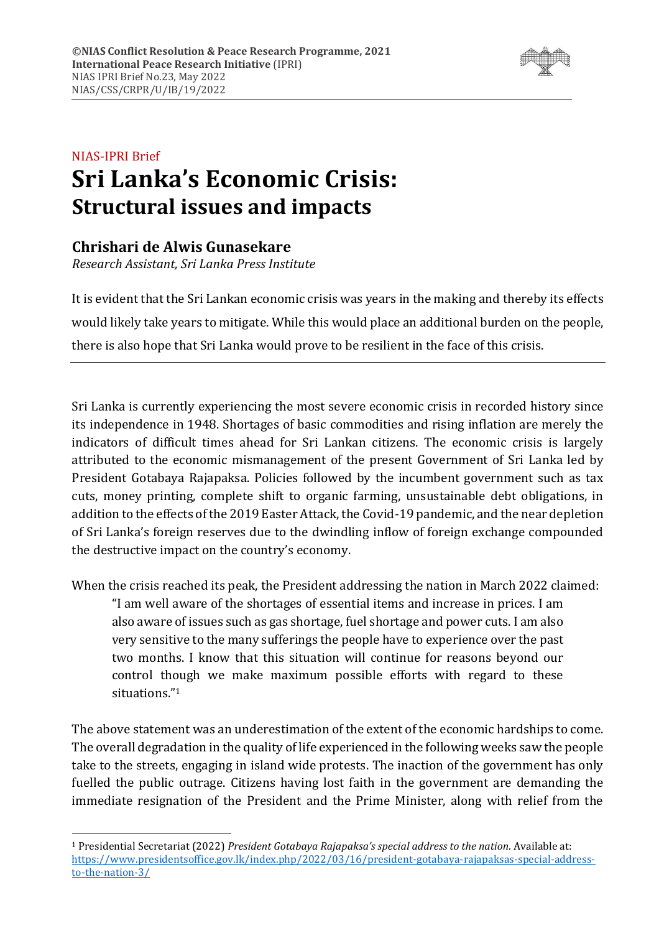

# NIAS-IPRI Brief **Sri Lanka's Economic Crisis: Structural issues and impacts**

# **Chrishari de Alwis Gunasekare**

*Research Assistant, Sri Lanka Press Institute*

It is evident that the Sri Lankan economic crisis was years in the making and thereby its effects would likely take years to mitigate. While this would place an additional burden on the people, there is also hope that Sri Lanka would prove to be resilient in the face of this crisis.

Sri Lanka is currently experiencing the most severe economic crisis in recorded history since its independence in 1948. Shortages of basic commodities and rising inflation are merely the indicators of difficult times ahead for Sri Lankan citizens. The economic crisis is largely attributed to the economic mismanagement of the present Government of Sri Lanka led by President Gotabaya Rajapaksa. Policies followed by the incumbent government such as tax cuts, money printing, complete shift to organic farming, unsustainable debt obligations, in addition to the effects of the 2019 Easter Attack, the Covid-19 pandemic, and the near depletion of Sri Lanka's foreign reserves due to the dwindling inflow of foreign exchange compounded the destructive impact on the country's economy.

When the crisis reached its peak, the President addressing the nation in March 2022 claimed:

"I am well aware of the shortages of essential items and increase in prices. I am also aware of issues such as gas shortage, fuel shortage and power cuts. I am also very sensitive to the many sufferings the people have to experience over the past two months. I know that this situation will continue for reasons beyond our control though we make maximum possible efforts with regard to these situations."<sup>1</sup>

The above statement was an underestimation of the extent of the economic hardships to come. The overall degradation in the quality of life experienced in the following weeks saw the people take to the streets, engaging in island wide protests. The inaction of the government has only fuelled the public outrage. Citizens having lost faith in the government are demanding the immediate resignation of the President and the Prime Minister, along with relief from the

<sup>1</sup> Presidential Secretariat (2022) *President Gotabaya Rajapaksa's special address to the nation*. Available at: [https://www.presidentsoffice.gov.lk/index.php/2022/03/16/president-gotabaya-rajapaksas-special-address](https://www.presidentsoffice.gov.lk/index.php/2022/03/16/president-gotabaya-rajapaksas-special-address-to-the-nation-3/)[to-the-nation-3/](https://www.presidentsoffice.gov.lk/index.php/2022/03/16/president-gotabaya-rajapaksas-special-address-to-the-nation-3/)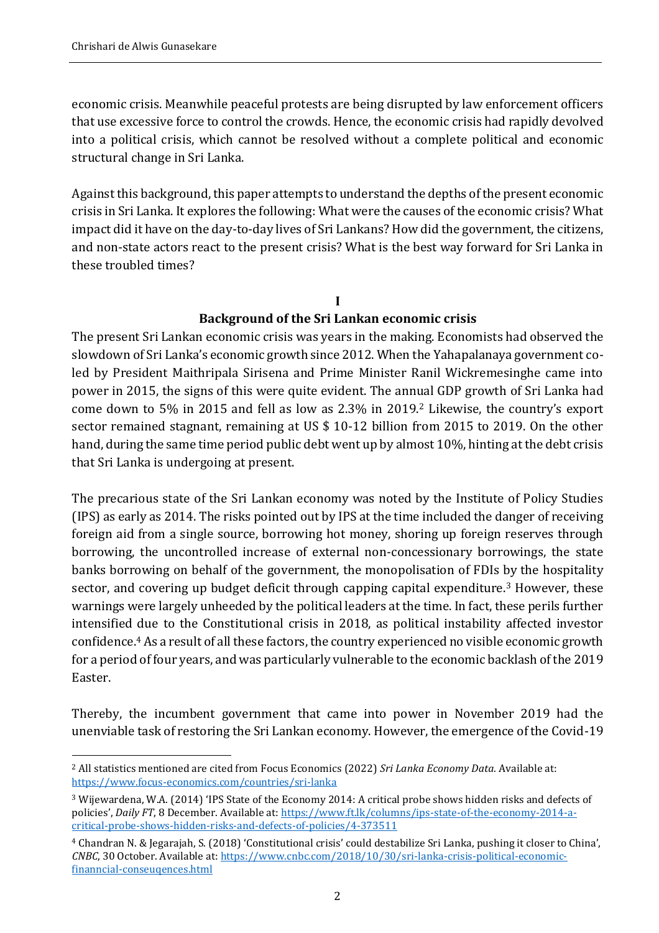economic crisis. Meanwhile peaceful protests are being disrupted by law enforcement officers that use excessive force to control the crowds. Hence, the economic crisis had rapidly devolved into a political crisis, which cannot be resolved without a complete political and economic structural change in Sri Lanka.

Against this background, this paper attempts to understand the depths of the present economic crisis in Sri Lanka. It explores the following: What were the causes of the economic crisis? What impact did it have on the day-to-day lives of Sri Lankans? How did the government, the citizens, and non-state actors react to the present crisis? What is the best way forward for Sri Lanka in these troubled times?

#### **I Background of the Sri Lankan economic crisis**

The present Sri Lankan economic crisis was years in the making. Economists had observed the slowdown of Sri Lanka's economic growth since 2012. When the Yahapalanaya government coled by President Maithripala Sirisena and Prime Minister Ranil Wickremesinghe came into power in 2015, the signs of this were quite evident. The annual GDP growth of Sri Lanka had come down to 5% in 2015 and fell as low as 2.3% in 2019.<sup>2</sup> Likewise, the country's export sector remained stagnant, remaining at US \$ 10-12 billion from 2015 to 2019. On the other hand, during the same time period public debt went up by almost 10%, hinting at the debt crisis that Sri Lanka is undergoing at present.

The precarious state of the Sri Lankan economy was noted by the Institute of Policy Studies (IPS) as early as 2014. The risks pointed out by IPS at the time included the danger of receiving foreign aid from a single source, borrowing hot money, shoring up foreign reserves through borrowing, the uncontrolled increase of external non-concessionary borrowings, the state banks borrowing on behalf of the government, the monopolisation of FDIs by the hospitality sector, and covering up budget deficit through capping capital expenditure.<sup>3</sup> However, these warnings were largely unheeded by the political leaders at the time. In fact, these perils further intensified due to the Constitutional crisis in 2018, as political instability affected investor confidence.<sup>4</sup> As a result of all these factors, the country experienced no visible economic growth for a period of four years, and was particularly vulnerable to the economic backlash of the 2019 Easter.

Thereby, the incumbent government that came into power in November 2019 had the unenviable task of restoring the Sri Lankan economy. However, the emergence of the Covid-19

<sup>2</sup> All statistics mentioned are cited from Focus Economics (2022) *Sri Lanka Economy Data*. Available at: <https://www.focus-economics.com/countries/sri-lanka>

<sup>3</sup> Wijewardena, W.A. (2014) 'IPS State of the Economy 2014: A critical probe shows hidden risks and defects of policies', *Daily FT*, 8 December. Available at: [https://www.ft.lk/columns/ips-state-of-the-economy-2014-a](https://www.ft.lk/columns/ips-state-of-the-economy-2014-a-critical-probe-shows-hidden-risks-and-defects-of-policies/4-373511)[critical-probe-shows-hidden-risks-and-defects-of-policies/4-373511](https://www.ft.lk/columns/ips-state-of-the-economy-2014-a-critical-probe-shows-hidden-risks-and-defects-of-policies/4-373511)

<sup>4</sup> Chandran N. & Jegarajah, S. (2018) 'Constitutional crisis' could destabilize Sri Lanka, pushing it closer to China', *CNBC*, 30 October. Available at[: https://www.cnbc.com/2018/10/30/sri-lanka-crisis-political-economic](https://www.cnbc.com/2018/10/30/sri-lanka-crisis-political-economic-finanncial-conseuqences.html)[finanncial-conseuqences.html](https://www.cnbc.com/2018/10/30/sri-lanka-crisis-political-economic-finanncial-conseuqences.html)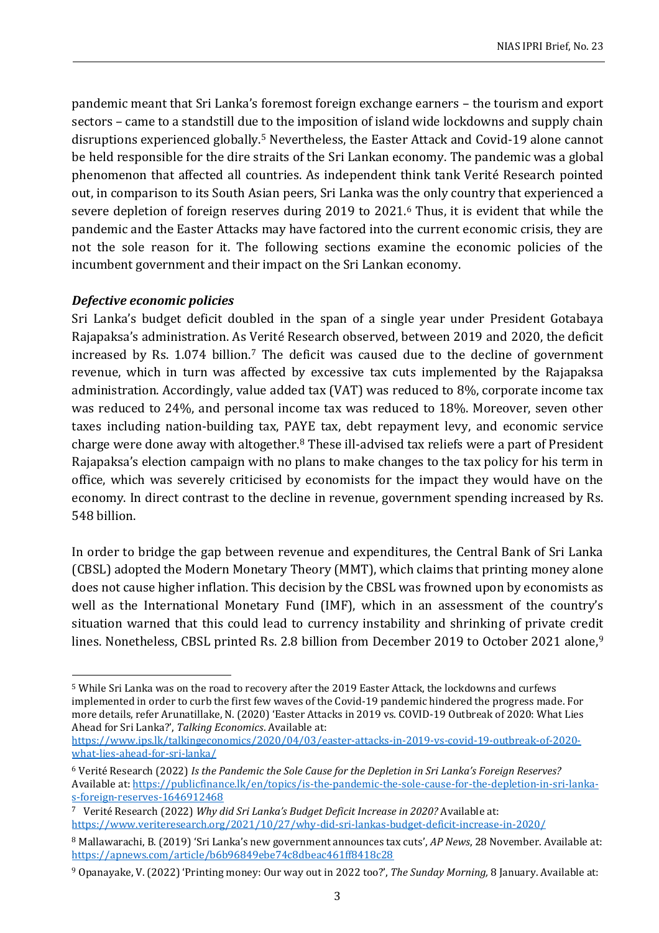pandemic meant that Sri Lanka's foremost foreign exchange earners – the tourism and export sectors – came to a standstill due to the imposition of island wide lockdowns and supply chain disruptions experienced globally.<sup>5</sup> Nevertheless, the Easter Attack and Covid-19 alone cannot be held responsible for the dire straits of the Sri Lankan economy. The pandemic was a global phenomenon that affected all countries. As independent think tank Verité Research pointed out, in comparison to its South Asian peers, Sri Lanka was the only country that experienced a severe depletion of foreign reserves during 2019 to 2021.<sup>6</sup> Thus, it is evident that while the pandemic and the Easter Attacks may have factored into the current economic crisis, they are not the sole reason for it. The following sections examine the economic policies of the incumbent government and their impact on the Sri Lankan economy.

#### *Defective economic policies*

Sri Lanka's budget deficit doubled in the span of a single year under President Gotabaya Rajapaksa's administration. As Verité Research observed, between 2019 and 2020, the deficit increased by Rs. 1.074 billion.<sup>7</sup> The deficit was caused due to the decline of government revenue, which in turn was affected by excessive tax cuts implemented by the Rajapaksa administration. Accordingly, value added tax (VAT) was reduced to 8%, corporate income tax was reduced to 24%, and personal income tax was reduced to 18%. Moreover, seven other taxes including nation-building tax, PAYE tax, debt repayment levy, and economic service charge were done away with altogether.<sup>8</sup> These ill-advised tax reliefs were a part of President Rajapaksa's election campaign with no plans to make changes to the tax policy for his term in office, which was severely criticised by economists for the impact they would have on the economy. In direct contrast to the decline in revenue, government spending increased by Rs. 548 billion.

In order to bridge the gap between revenue and expenditures, the Central Bank of Sri Lanka (CBSL) adopted the Modern Monetary Theory (MMT), which claims that printing money alone does not cause higher inflation. This decision by the CBSL was frowned upon by economists as well as the International Monetary Fund (IMF), which in an assessment of the country's situation warned that this could lead to currency instability and shrinking of private credit lines. Nonetheless, CBSL printed Rs. 2.8 billion from December 2019 to October 2021 alone,<sup>9</sup>

<sup>5</sup> While Sri Lanka was on the road to recovery after the 2019 Easter Attack, the lockdowns and curfews implemented in order to curb the first few waves of the Covid-19 pandemic hindered the progress made. For more details, refer Arunatillake, N. (2020) 'Easter Attacks in 2019 vs. COVID-19 Outbreak of 2020: What Lies Ahead for Sri Lanka?', *Talking Economics*. Available at:

[https://www.ips.lk/talkingeconomics/2020/04/03/easter-attacks-in-2019-vs-covid-19-outbreak-of-2020](https://www.ips.lk/talkingeconomics/2020/04/03/easter-attacks-in-2019-vs-covid-19-outbreak-of-2020-what-lies-ahead-for-sri-lanka/) [what-lies-ahead-for-sri-lanka/](https://www.ips.lk/talkingeconomics/2020/04/03/easter-attacks-in-2019-vs-covid-19-outbreak-of-2020-what-lies-ahead-for-sri-lanka/)

<sup>6</sup> Verité Research (2022) *Is the Pandemic the Sole Cause for the Depletion in Sri Lanka's Foreign Reserves?* Available at: [https://publicfinance.lk/en/topics/is-the-pandemic-the-sole-cause-for-the-depletion-in-sri-lanka](https://publicfinance.lk/en/topics/is-the-pandemic-the-sole-cause-for-the-depletion-in-sri-lanka-s-foreign-reserves-1646912468)[s-foreign-reserves-1646912468](https://publicfinance.lk/en/topics/is-the-pandemic-the-sole-cause-for-the-depletion-in-sri-lanka-s-foreign-reserves-1646912468)

<sup>7</sup> Verité Research (2022) *Why did Sri Lanka's Budget Deficit Increase in 2020?* Available at: <https://www.veriteresearch.org/2021/10/27/why-did-sri-lankas-budget-deficit-increase-in-2020/>

<sup>8</sup> Mallawarachi, B. (2019) 'Sri Lanka's new government announces tax cuts', *AP News*, 28 November. Available at: <https://apnews.com/article/b6b96849ebe74c8dbeac461ff8418c28>

<sup>9</sup> Opanayake, V. (2022) 'Printing money: Our way out in 2022 too?', *The Sunday Morning,* 8 January. Available at: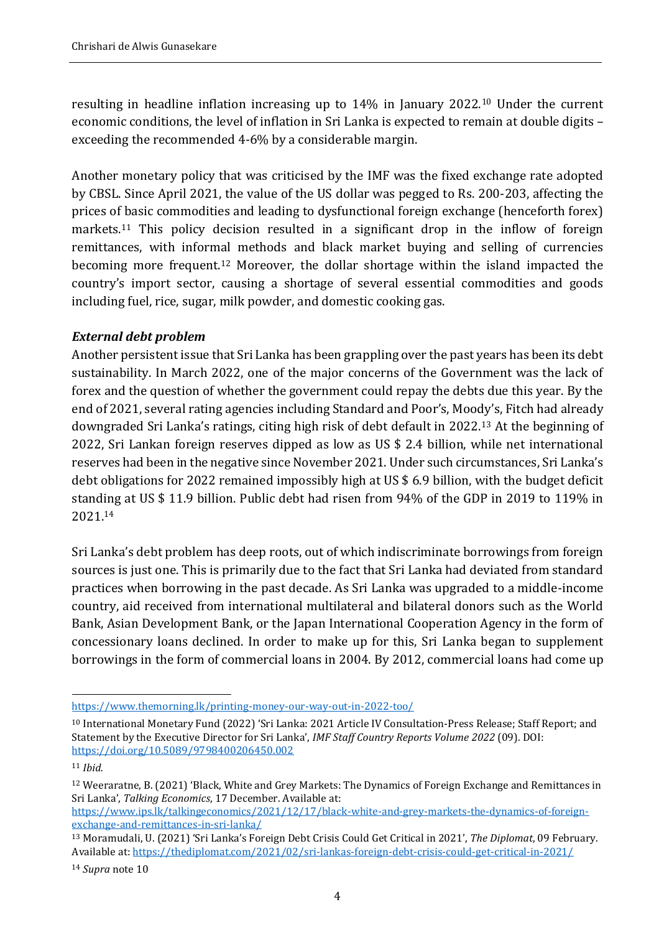resulting in headline inflation increasing up to 14% in January 2022.<sup>10</sup> Under the current economic conditions, the level of inflation in Sri Lanka is expected to remain at double digits – exceeding the recommended 4-6% by a considerable margin.

Another monetary policy that was criticised by the IMF was the fixed exchange rate adopted by CBSL. Since April 2021, the value of the US dollar was pegged to Rs. 200-203, affecting the prices of basic commodities and leading to dysfunctional foreign exchange (henceforth forex) markets.<sup>11</sup> This policy decision resulted in a significant drop in the inflow of foreign remittances, with informal methods and black market buying and selling of currencies becoming more frequent.<sup>12</sup> Moreover, the dollar shortage within the island impacted the country's import sector, causing a shortage of several essential commodities and goods including fuel, rice, sugar, milk powder, and domestic cooking gas.

## *External debt problem*

Another persistent issue that Sri Lanka has been grappling over the past years has been its debt sustainability. In March 2022, one of the major concerns of the Government was the lack of forex and the question of whether the government could repay the debts due this year. By the end of 2021, several rating agencies including Standard and Poor's, Moody's, Fitch had already downgraded Sri Lanka's ratings, citing high risk of debt default in 2022.<sup>13</sup> At the beginning of 2022, Sri Lankan foreign reserves dipped as low as US \$ 2.4 billion, while net international reserves had been in the negative since November 2021. Under such circumstances, Sri Lanka's debt obligations for 2022 remained impossibly high at US \$ 6.9 billion, with the budget deficit standing at US \$ 11.9 billion. Public debt had risen from 94% of the GDP in 2019 to 119% in 2021.<sup>14</sup>

Sri Lanka's debt problem has deep roots, out of which indiscriminate borrowings from foreign sources is just one. This is primarily due to the fact that Sri Lanka had deviated from standard practices when borrowing in the past decade. As Sri Lanka was upgraded to a middle-income country, aid received from international multilateral and bilateral donors such as the World Bank, Asian Development Bank, or the Japan International Cooperation Agency in the form of concessionary loans declined. In order to make up for this, Sri Lanka began to supplement borrowings in the form of commercial loans in 2004. By 2012, commercial loans had come up

<https://www.themorning.lk/printing-money-our-way-out-in-2022-too/>

<sup>10</sup> International Monetary Fund (2022) 'Sri Lanka: 2021 Article IV Consultation-Press Release; Staff Report; and Statement by the Executive Director for Sri Lanka', *IMF Staff Country Reports Volume 2022* (09). DOI: <https://doi.org/10.5089/9798400206450.002>

<sup>11</sup> *Ibid.*

<sup>12</sup> Weeraratne, B. (2021) 'Black, White and Grey Markets: The Dynamics of Foreign Exchange and Remittances in Sri Lanka', *Talking Economics*, 17 December. Available at:

[https://www.ips.lk/talkingeconomics/2021/12/17/black-white-and-grey-markets-the-dynamics-of-foreign](https://www.ips.lk/talkingeconomics/2021/12/17/black-white-and-grey-markets-the-dynamics-of-foreign-exchange-and-remittances-in-sri-lanka/)[exchange-and-remittances-in-sri-lanka/](https://www.ips.lk/talkingeconomics/2021/12/17/black-white-and-grey-markets-the-dynamics-of-foreign-exchange-and-remittances-in-sri-lanka/)

<sup>13</sup> Moramudali, U. (2021) 'Sri Lanka's Foreign Debt Crisis Could Get Critical in 2021', *The Diplomat*, 09 February. Available at:<https://thediplomat.com/2021/02/sri-lankas-foreign-debt-crisis-could-get-critical-in-2021/>

<sup>14</sup> *Supra* note 10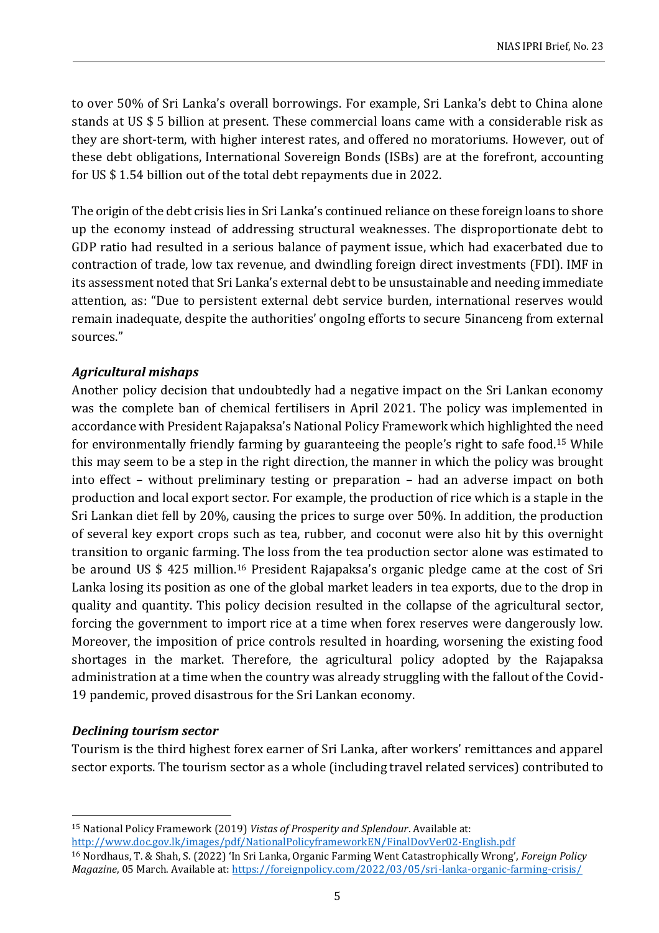to over 50% of Sri Lanka's overall borrowings. For example, Sri Lanka's debt to China alone stands at US \$ 5 billion at present. These commercial loans came with a considerable risk as they are short-term, with higher interest rates, and offered no moratoriums. However, out of these debt obligations, International Sovereign Bonds (ISBs) are at the forefront, accounting for US \$ 1.54 billion out of the total debt repayments due in 2022.

The origin of the debt crisis lies in Sri Lanka's continued reliance on these foreign loans to shore up the economy instead of addressing structural weaknesses. The disproportionate debt to GDP ratio had resulted in a serious balance of payment issue, which had exacerbated due to contraction of trade, low tax revenue, and dwindling foreign direct investments (FDI). IMF in its assessment noted that Sri Lanka's external debt to be unsustainable and needing immediate attention, as: "Due to persistent external debt service burden, international reserves would remain inadequate, despite the authorities' ongoIng efforts to secure 5inanceng from external sources."

## *Agricultural mishaps*

Another policy decision that undoubtedly had a negative impact on the Sri Lankan economy was the complete ban of chemical fertilisers in April 2021. The policy was implemented in accordance with President Rajapaksa's National Policy Framework which highlighted the need for environmentally friendly farming by guaranteeing the people's right to safe food.<sup>15</sup> While this may seem to be a step in the right direction, the manner in which the policy was brought into effect – without preliminary testing or preparation – had an adverse impact on both production and local export sector. For example, the production of rice which is a staple in the Sri Lankan diet fell by 20%, causing the prices to surge over 50%. In addition, the production of several key export crops such as tea, rubber, and coconut were also hit by this overnight transition to organic farming. The loss from the tea production sector alone was estimated to be around US \$ 425 million.<sup>16</sup> President Rajapaksa's organic pledge came at the cost of Sri Lanka losing its position as one of the global market leaders in tea exports, due to the drop in quality and quantity. This policy decision resulted in the collapse of the agricultural sector, forcing the government to import rice at a time when forex reserves were dangerously low. Moreover, the imposition of price controls resulted in hoarding, worsening the existing food shortages in the market. Therefore, the agricultural policy adopted by the Rajapaksa administration at a time when the country was already struggling with the fallout of the Covid-19 pandemic, proved disastrous for the Sri Lankan economy.

#### *Declining tourism sector*

Tourism is the third highest forex earner of Sri Lanka, after workers' remittances and apparel sector exports. The tourism sector as a whole (including travel related services) contributed to

<sup>15</sup> National Policy Framework (2019) *Vistas of Prosperity and Splendour*. Available at: <http://www.doc.gov.lk/images/pdf/NationalPolicyframeworkEN/FinalDovVer02-English.pdf>

<sup>16</sup> Nordhaus, T. & Shah, S. (2022) 'In Sri Lanka, Organic Farming Went Catastrophically Wrong', *Foreign Policy Magazine*, 05 March. Available at[: https://foreignpolicy.com/2022/03/05/sri-lanka-organic-farming-crisis/](https://foreignpolicy.com/2022/03/05/sri-lanka-organic-farming-crisis/)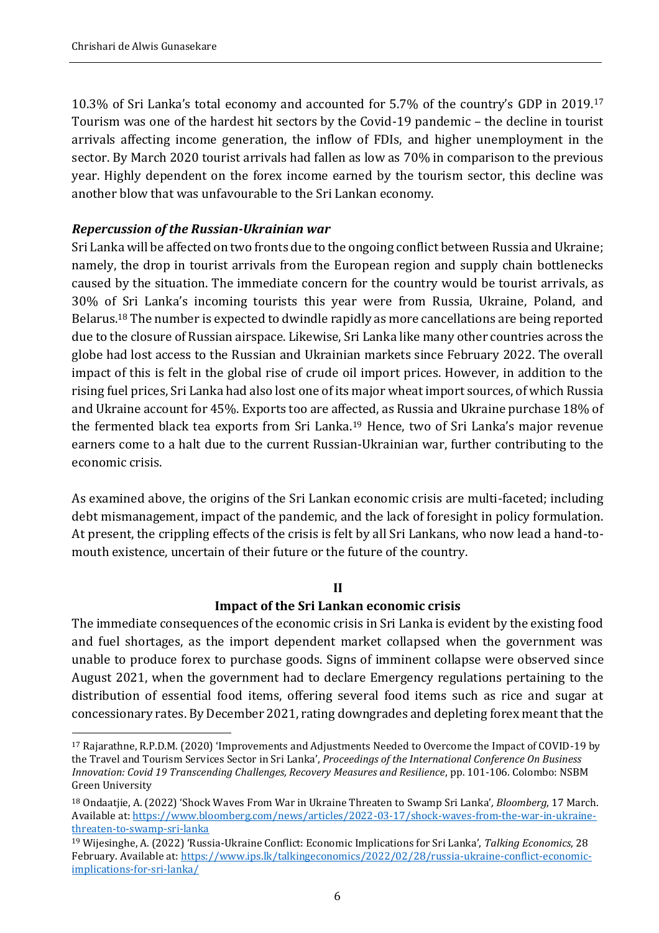10.3% of Sri Lanka's total economy and accounted for 5.7% of the country's GDP in 2019.<sup>17</sup> Tourism was one of the hardest hit sectors by the Covid-19 pandemic – the decline in tourist arrivals affecting income generation, the inflow of FDIs, and higher unemployment in the sector. By March 2020 tourist arrivals had fallen as low as 70% in comparison to the previous year. Highly dependent on the forex income earned by the tourism sector, this decline was another blow that was unfavourable to the Sri Lankan economy.

## *Repercussion of the Russian-Ukrainian war*

Sri Lanka will be affected on two fronts due to the ongoing conflict between Russia and Ukraine; namely, the drop in tourist arrivals from the European region and supply chain bottlenecks caused by the situation. The immediate concern for the country would be tourist arrivals, as 30% of Sri Lanka's incoming tourists this year were from Russia, Ukraine, Poland, and Belarus.<sup>18</sup> The number is expected to dwindle rapidly as more cancellations are being reported due to the closure of Russian airspace. Likewise, Sri Lanka like many other countries across the globe had lost access to the Russian and Ukrainian markets since February 2022. The overall impact of this is felt in the global rise of crude oil import prices. However, in addition to the rising fuel prices, Sri Lanka had also lost one of its major wheat import sources, of which Russia and Ukraine account for 45%. Exports too are affected, as Russia and Ukraine purchase 18% of the fermented black tea exports from Sri Lanka.<sup>19</sup> Hence, two of Sri Lanka's major revenue earners come to a halt due to the current Russian-Ukrainian war, further contributing to the economic crisis.

As examined above, the origins of the Sri Lankan economic crisis are multi-faceted; including debt mismanagement, impact of the pandemic, and the lack of foresight in policy formulation. At present, the crippling effects of the crisis is felt by all Sri Lankans, who now lead a hand-tomouth existence, uncertain of their future or the future of the country.

#### **II**

## **Impact of the Sri Lankan economic crisis**

The immediate consequences of the economic crisis in Sri Lanka is evident by the existing food and fuel shortages, as the import dependent market collapsed when the government was unable to produce forex to purchase goods. Signs of imminent collapse were observed since August 2021, when the government had to declare Emergency regulations pertaining to the distribution of essential food items, offering several food items such as rice and sugar at concessionary rates. By December 2021, rating downgrades and depleting forex meant that the

<sup>17</sup> Rajarathne, R.P.D.M. (2020) 'Improvements and Adjustments Needed to Overcome the Impact of COVID-19 by the Travel and Tourism Services Sector in Sri Lanka', *Proceedings of the International Conference On Business Innovation: Covid 19 Transcending Challenges, Recovery Measures and Resilience*, pp. 101-106. Colombo: NSBM Green University

<sup>18</sup> Ondaatjie, A. (2022) 'Shock Waves From War in Ukraine Threaten to Swamp Sri Lanka'*, Bloomberg*, 17 March. Available at: [https://www.bloomberg.com/news/articles/2022-03-17/shock-waves-from-the-war-in-ukraine](https://www.bloomberg.com/news/articles/2022-03-17/shock-waves-from-the-war-in-ukraine-threaten-to-swamp-sri-lanka)[threaten-to-swamp-sri-lanka](https://www.bloomberg.com/news/articles/2022-03-17/shock-waves-from-the-war-in-ukraine-threaten-to-swamp-sri-lanka)

<sup>19</sup> Wijesinghe, A. (2022) 'Russia-Ukraine Conflict: Economic Implications for Sri Lanka', *Talking Economics*, 28 February. Available at[: https://www.ips.lk/talkingeconomics/2022/02/28/russia-ukraine-conflict-economic](https://www.ips.lk/talkingeconomics/2022/02/28/russia-ukraine-conflict-economic-implications-for-sri-lanka/)[implications-for-sri-lanka/](https://www.ips.lk/talkingeconomics/2022/02/28/russia-ukraine-conflict-economic-implications-for-sri-lanka/)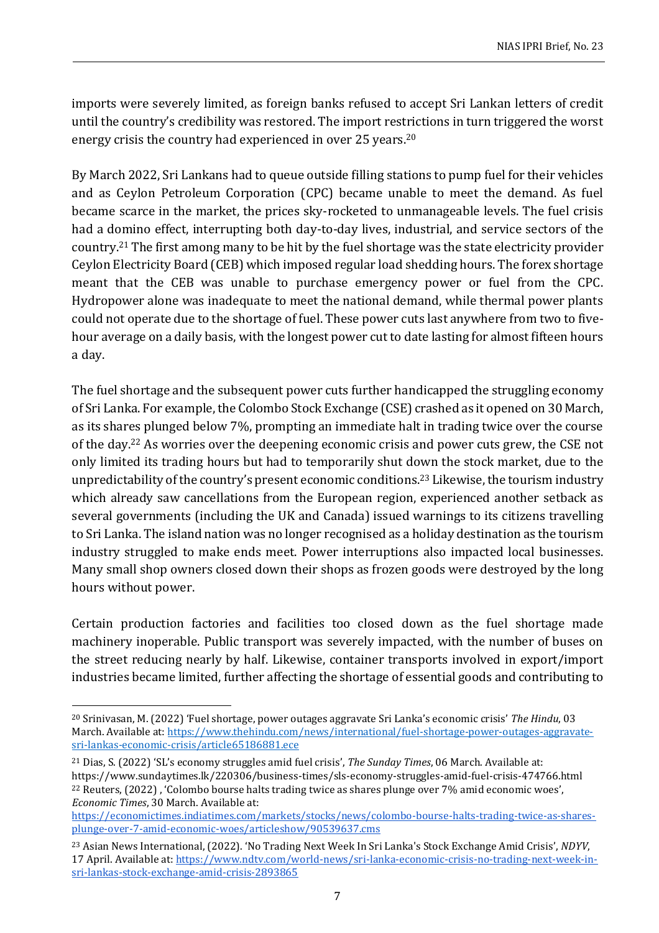imports were severely limited, as foreign banks refused to accept Sri Lankan letters of credit until the country's credibility was restored. The import restrictions in turn triggered the worst energy crisis the country had experienced in over 25 years.<sup>20</sup>

By March 2022, Sri Lankans had to queue outside filling stations to pump fuel for their vehicles and as Ceylon Petroleum Corporation (CPC) became unable to meet the demand. As fuel became scarce in the market, the prices sky-rocketed to unmanageable levels. The fuel crisis had a domino effect, interrupting both day-to-day lives, industrial, and service sectors of the country.<sup>21</sup> The first among many to be hit by the fuel shortage was the state electricity provider Ceylon Electricity Board (CEB) which imposed regular load shedding hours. The forex shortage meant that the CEB was unable to purchase emergency power or fuel from the CPC. Hydropower alone was inadequate to meet the national demand, while thermal power plants could not operate due to the shortage of fuel. These power cuts last anywhere from two to fivehour average on a daily basis, with the longest power cut to date lasting for almost fifteen hours a day.

The fuel shortage and the subsequent power cuts further handicapped the struggling economy of Sri Lanka. For example, the Colombo Stock Exchange (CSE) crashed as it opened on 30 March, as its shares plunged below 7%, prompting an immediate halt in trading twice over the course of the day.<sup>22</sup> As worries over the deepening economic crisis and power cuts grew, the CSE not only limited its trading hours but had to temporarily shut down the stock market, due to the unpredictability of the country's present economic conditions.<sup>23</sup> Likewise, the tourism industry which already saw cancellations from the European region, experienced another setback as several governments (including the UK and Canada) issued warnings to its citizens travelling to Sri Lanka. The island nation was no longer recognised as a holiday destination as the tourism industry struggled to make ends meet. Power interruptions also impacted local businesses. Many small shop owners closed down their shops as frozen goods were destroyed by the long hours without power.

Certain production factories and facilities too closed down as the fuel shortage made machinery inoperable. Public transport was severely impacted, with the number of buses on the street reducing nearly by half. Likewise, container transports involved in export/import industries became limited, further affecting the shortage of essential goods and contributing to

<sup>20</sup> Srinivasan, M. (2022) 'Fuel shortage, power outages aggravate Sri Lanka's economic crisis' *The Hindu*, 03 March. Available at[: https://www.thehindu.com/news/international/fuel-shortage-power-outages-aggravate](https://www.thehindu.com/news/international/fuel-shortage-power-outages-aggravate-sri-lankas-economic-crisis/article65186881.ece)[sri-lankas-economic-crisis/article65186881.ece](https://www.thehindu.com/news/international/fuel-shortage-power-outages-aggravate-sri-lankas-economic-crisis/article65186881.ece)

<sup>21</sup> Dias, S. (2022) 'SL's economy struggles amid fuel crisis', *The Sunday Times*, 06 March. Available at: https://www.sundaytimes.lk/220306/business-times/sls-economy-struggles-amid-fuel-crisis-474766.html <sup>22</sup> Reuters, (2022) , 'Colombo bourse halts trading twice as shares plunge over 7% amid economic woes', *Economic Times*, 30 March. Available at:

[https://economictimes.indiatimes.com/markets/stocks/news/colombo-bourse-halts-trading-twice-as-shares](https://economictimes.indiatimes.com/markets/stocks/news/colombo-bourse-halts-trading-twice-as-shares-plunge-over-7-amid-economic-woes/articleshow/90539637.cms)[plunge-over-7-amid-economic-woes/articleshow/90539637.cms](https://economictimes.indiatimes.com/markets/stocks/news/colombo-bourse-halts-trading-twice-as-shares-plunge-over-7-amid-economic-woes/articleshow/90539637.cms)

<sup>23</sup> Asian News International, (2022). 'No Trading Next Week In Sri Lanka's Stock Exchange Amid Crisis', *NDYV*, 17 April. Available at: [https://www.ndtv.com/world-news/sri-lanka-economic-crisis-no-trading-next-week-in](https://www.ndtv.com/world-news/sri-lanka-economic-crisis-no-trading-next-week-in-sri-lankas-stock-exchange-amid-crisis-2893865)[sri-lankas-stock-exchange-amid-crisis-2893865](https://www.ndtv.com/world-news/sri-lanka-economic-crisis-no-trading-next-week-in-sri-lankas-stock-exchange-amid-crisis-2893865)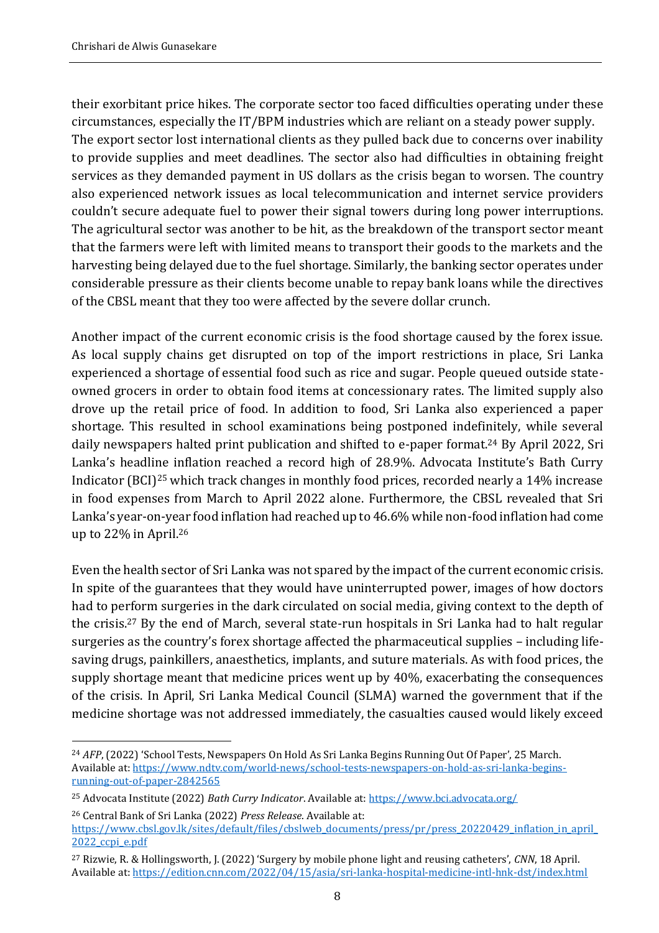their exorbitant price hikes. The corporate sector too faced difficulties operating under these circumstances, especially the IT/BPM industries which are reliant on a steady power supply. The export sector lost international clients as they pulled back due to concerns over inability to provide supplies and meet deadlines. The sector also had difficulties in obtaining freight services as they demanded payment in US dollars as the crisis began to worsen. The country also experienced network issues as local telecommunication and internet service providers couldn't secure adequate fuel to power their signal towers during long power interruptions. The agricultural sector was another to be hit, as the breakdown of the transport sector meant that the farmers were left with limited means to transport their goods to the markets and the harvesting being delayed due to the fuel shortage. Similarly, the banking sector operates under considerable pressure as their clients become unable to repay bank loans while the directives of the CBSL meant that they too were affected by the severe dollar crunch.

Another impact of the current economic crisis is the food shortage caused by the forex issue. As local supply chains get disrupted on top of the import restrictions in place, Sri Lanka experienced a shortage of essential food such as rice and sugar. People queued outside stateowned grocers in order to obtain food items at concessionary rates. The limited supply also drove up the retail price of food. In addition to food, Sri Lanka also experienced a paper shortage. This resulted in school examinations being postponed indefinitely, while several daily newspapers halted print publication and shifted to e-paper format.<sup>24</sup> By April 2022, Sri Lanka's headline inflation reached a record high of 28.9%. Advocata Institute's Bath Curry Indicator (BCI)<sup>25</sup> which track changes in monthly food prices, recorded nearly a 14% increase in food expenses from March to April 2022 alone. Furthermore, the CBSL revealed that Sri Lanka's year-on-year food inflation had reached up to 46.6% while non-food inflation had come up to 22% in April.<sup>26</sup>

Even the health sector of Sri Lanka was not spared by the impact of the current economic crisis. In spite of the guarantees that they would have uninterrupted power, images of how doctors had to perform surgeries in the dark circulated on social media, giving context to the depth of the crisis.<sup>27</sup> By the end of March, several state-run hospitals in Sri Lanka had to halt regular surgeries as the country's forex shortage affected the pharmaceutical supplies – including lifesaving drugs, painkillers, anaesthetics, implants, and suture materials. As with food prices, the supply shortage meant that medicine prices went up by 40%, exacerbating the consequences of the crisis. In April, Sri Lanka Medical Council (SLMA) warned the government that if the medicine shortage was not addressed immediately, the casualties caused would likely exceed

<sup>24</sup> *AFP*, (2022) 'School Tests, Newspapers On Hold As Sri Lanka Begins Running Out Of Paper', 25 March. Available at: [https://www.ndtv.com/world-news/school-tests-newspapers-on-hold-as-sri-lanka-begins](https://www.ndtv.com/world-news/school-tests-newspapers-on-hold-as-sri-lanka-begins-running-out-of-paper-2842565)[running-out-of-paper-2842565](https://www.ndtv.com/world-news/school-tests-newspapers-on-hold-as-sri-lanka-begins-running-out-of-paper-2842565)

<sup>25</sup> Advocata Institute (2022) *Bath Curry Indicator*. Available at:<https://www.bci.advocata.org/>

<sup>26</sup> Central Bank of Sri Lanka (2022) *Press Release*. Available at: [https://www.cbsl.gov.lk/sites/default/files/cbslweb\\_documents/press/pr/press\\_20220429\\_inflation\\_in\\_april\\_](https://www.cbsl.gov.lk/sites/default/files/cbslweb_documents/press/pr/press_20220429_inflation_in_april_2022_ccpi_e.pdf) [2022\\_ccpi\\_e.pdf](https://www.cbsl.gov.lk/sites/default/files/cbslweb_documents/press/pr/press_20220429_inflation_in_april_2022_ccpi_e.pdf)

<sup>27</sup> Rizwie, R. & Hollingsworth, J. (2022) 'Surgery by mobile phone light and reusing catheters', *CNN*, 18 April. Available at:<https://edition.cnn.com/2022/04/15/asia/sri-lanka-hospital-medicine-intl-hnk-dst/index.html>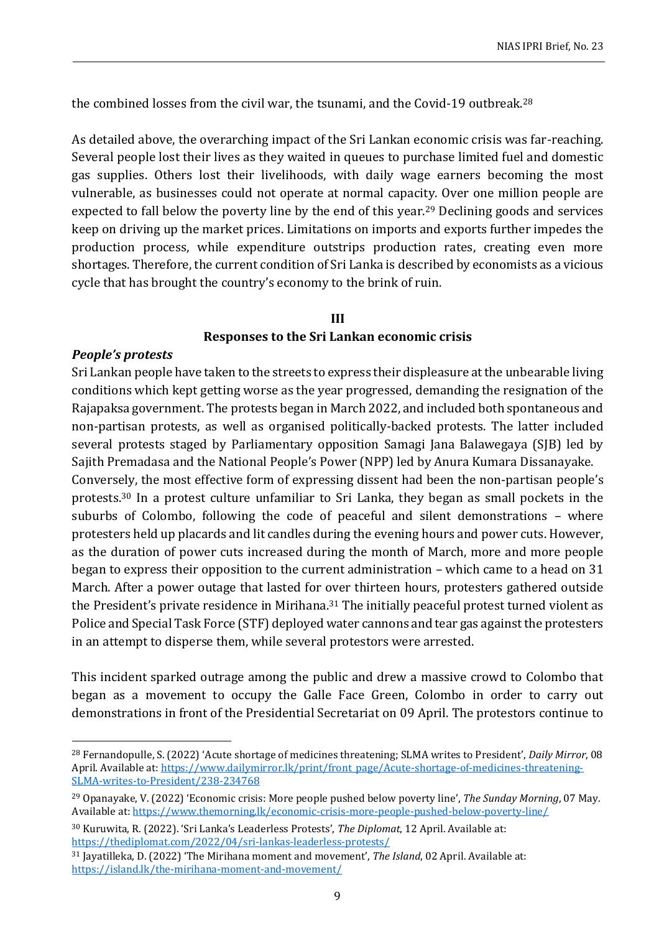the combined losses from the civil war, the tsunami, and the Covid-19 outbreak.<sup>28</sup>

As detailed above, the overarching impact of the Sri Lankan economic crisis was far-reaching. Several people lost their lives as they waited in queues to purchase limited fuel and domestic gas supplies. Others lost their livelihoods, with daily wage earners becoming the most vulnerable, as businesses could not operate at normal capacity. Over one million people are expected to fall below the poverty line by the end of this year.<sup>29</sup> Declining goods and services keep on driving up the market prices. Limitations on imports and exports further impedes the production process, while expenditure outstrips production rates, creating even more shortages. Therefore, the current condition of Sri Lanka is described by economists as a vicious cycle that has brought the country's economy to the brink of ruin.

## **III Responses to the Sri Lankan economic crisis**

#### *People's protests*

Sri Lankan people have taken to the streets to express their displeasure at the unbearable living conditions which kept getting worse as the year progressed, demanding the resignation of the Rajapaksa government. The protests began in March 2022, and included both spontaneous and non-partisan protests, as well as organised politically-backed protests. The latter included several protests staged by Parliamentary opposition Samagi Jana Balawegaya (SJB) led by Sajith Premadasa and the National People's Power (NPP) led by Anura Kumara Dissanayake. Conversely, the most effective form of expressing dissent had been the non-partisan people's protests.<sup>30</sup> In a protest culture unfamiliar to Sri Lanka, they began as small pockets in the suburbs of Colombo, following the code of peaceful and silent demonstrations – where protesters held up placards and lit candles during the evening hours and power cuts. However, as the duration of power cuts increased during the month of March, more and more people began to express their opposition to the current administration – which came to a head on 31 March. After a power outage that lasted for over thirteen hours, protesters gathered outside the President's private residence in Mirihana.<sup>31</sup> The initially peaceful protest turned violent as Police and Special Task Force (STF) deployed water cannons and tear gas against the protesters in an attempt to disperse them, while several protestors were arrested.

This incident sparked outrage among the public and drew a massive crowd to Colombo that began as a movement to occupy the Galle Face Green, Colombo in order to carry out demonstrations in front of the Presidential Secretariat on 09 April. The protestors continue to

<sup>28</sup> Fernandopulle, S. (2022) 'Acute shortage of medicines threatening; SLMA writes to President', *Daily Mirror*, 08 April. Available at[: https://www.dailymirror.lk/print/front\\_page/Acute-shortage-of-medicines-threatening-](https://www.dailymirror.lk/print/front_page/Acute-shortage-of-medicines-threatening-SLMA-writes-to-President/238-234768)[SLMA-writes-to-President/238-234768](https://www.dailymirror.lk/print/front_page/Acute-shortage-of-medicines-threatening-SLMA-writes-to-President/238-234768)

<sup>29</sup> Opanayake, V. (2022) 'Economic crisis: More people pushed below poverty line', *The Sunday Morning*, 07 May. Available at:<https://www.themorning.lk/economic-crisis-more-people-pushed-below-poverty-line/>

<sup>30</sup> Kuruwita, R. (2022). 'Sri Lanka's Leaderless Protests', *The Diplomat*, 12 April. Available at: <https://thediplomat.com/2022/04/sri-lankas-leaderless-protests/>

<sup>31</sup> Jayatilleka, D. (2022) 'The Mirihana moment and movement', *The Island*, 02 April. Available at: <https://island.lk/the-mirihana-moment-and-movement/>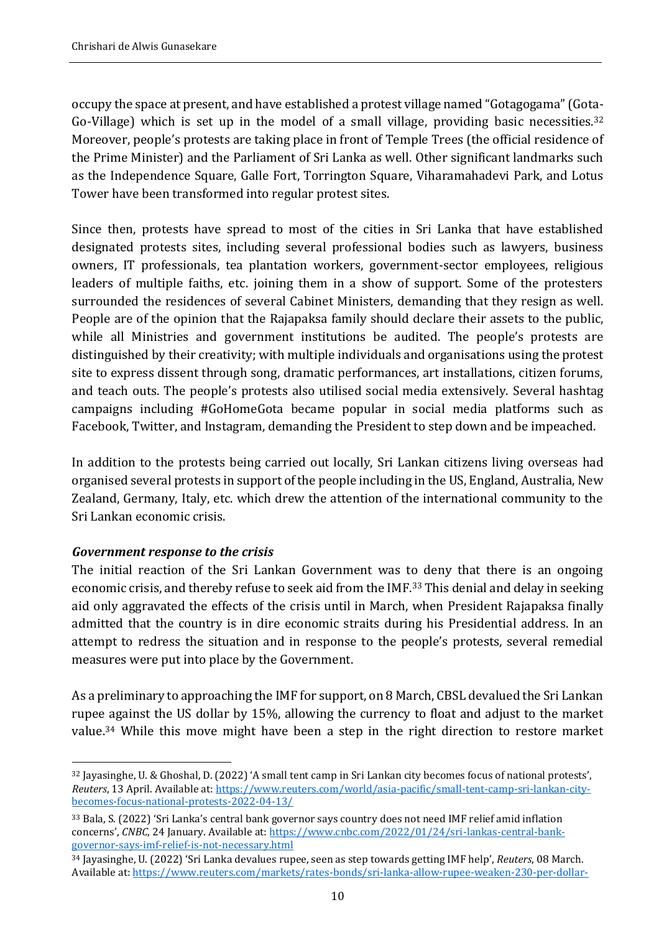occupy the space at present, and have established a protest village named "Gotagogama" (Gota-Go-Village) which is set up in the model of a small village, providing basic necessities.<sup>32</sup> Moreover, people's protests are taking place in front of Temple Trees (the official residence of the Prime Minister) and the Parliament of Sri Lanka as well. Other significant landmarks such as the Independence Square, Galle Fort, Torrington Square, Viharamahadevi Park, and Lotus Tower have been transformed into regular protest sites.

Since then, protests have spread to most of the cities in Sri Lanka that have established designated protests sites, including several professional bodies such as lawyers, business owners, IT professionals, tea plantation workers, government-sector employees, religious leaders of multiple faiths, etc. joining them in a show of support. Some of the protesters surrounded the residences of several Cabinet Ministers, demanding that they resign as well. People are of the opinion that the Rajapaksa family should declare their assets to the public, while all Ministries and government institutions be audited. The people's protests are distinguished by their creativity; with multiple individuals and organisations using the protest site to express dissent through song, dramatic performances, art installations, citizen forums, and teach outs. The people's protests also utilised social media extensively. Several hashtag campaigns including #GoHomeGota became popular in social media platforms such as Facebook, Twitter, and Instagram, demanding the President to step down and be impeached.

In addition to the protests being carried out locally, Sri Lankan citizens living overseas had organised several protests in support of the people including in the US, England, Australia, New Zealand, Germany, Italy, etc. which drew the attention of the international community to the Sri Lankan economic crisis.

#### *Government response to the crisis*

The initial reaction of the Sri Lankan Government was to deny that there is an ongoing economic crisis, and thereby refuse to seek aid from the IMF.<sup>33</sup> This denial and delay in seeking aid only aggravated the effects of the crisis until in March, when President Rajapaksa finally admitted that the country is in dire economic straits during his Presidential address. In an attempt to redress the situation and in response to the people's protests, several remedial measures were put into place by the Government.

As a preliminary to approaching the IMF for support, on 8 March, CBSL devalued the Sri Lankan rupee against the US dollar by 15%, allowing the currency to float and adjust to the market value.<sup>34</sup> While this move might have been a step in the right direction to restore market

<sup>32</sup> Jayasinghe, U. & Ghoshal, D. (2022) 'A small tent camp in Sri Lankan city becomes focus of national protests', *Reuters*, 13 April. Available at: [https://www.reuters.com/world/asia-pacific/small-tent-camp-sri-lankan-city](https://www.reuters.com/world/asia-pacific/small-tent-camp-sri-lankan-city-becomes-focus-national-protests-2022-04-13/)[becomes-focus-national-protests-2022-04-13/](https://www.reuters.com/world/asia-pacific/small-tent-camp-sri-lankan-city-becomes-focus-national-protests-2022-04-13/)

<sup>33</sup> Bala, S. (2022) 'Sri Lanka's central bank governor says country does not need IMF relief amid inflation concerns', *CNBC*, 24 January. Available at[: https://www.cnbc.com/2022/01/24/sri-lankas-central-bank](https://www.cnbc.com/2022/01/24/sri-lankas-central-bank-governor-says-imf-relief-is-not-necessary.html)[governor-says-imf-relief-is-not-necessary.html](https://www.cnbc.com/2022/01/24/sri-lankas-central-bank-governor-says-imf-relief-is-not-necessary.html)

<sup>34</sup> Jayasinghe, U. (2022) 'Sri Lanka devalues rupee, seen as step towards getting IMF help', *Reuters*, 08 March. Available at: [https://www.reuters.com/markets/rates-bonds/sri-lanka-allow-rupee-weaken-230-per-dollar-](https://www.reuters.com/markets/rates-bonds/sri-lanka-allow-rupee-weaken-230-per-dollar-2022-03-07/)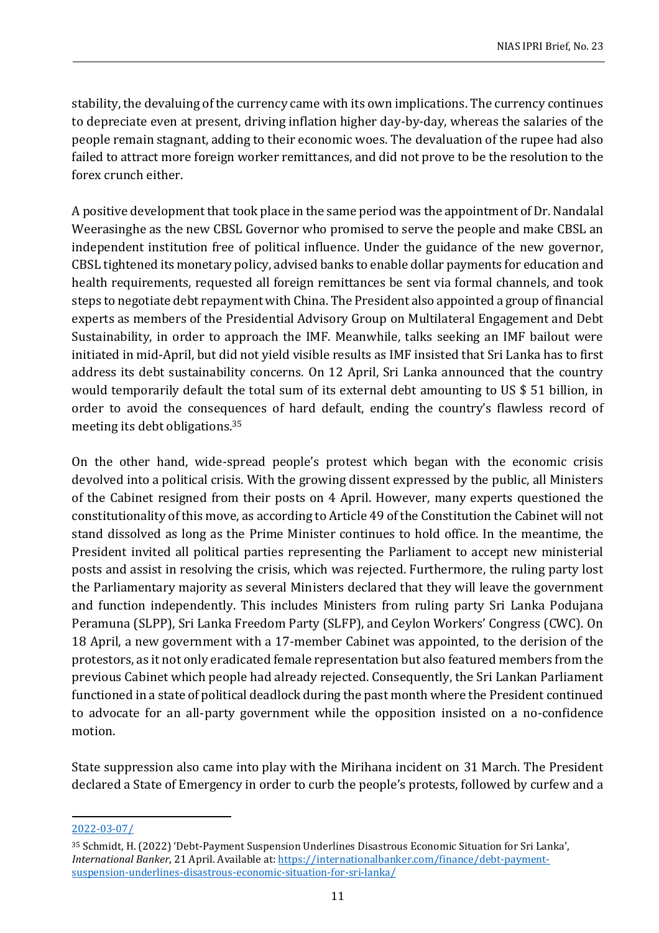stability, the devaluing of the currency came with its own implications. The currency continues to depreciate even at present, driving inflation higher day-by-day, whereas the salaries of the people remain stagnant, adding to their economic woes. The devaluation of the rupee had also failed to attract more foreign worker remittances, and did not prove to be the resolution to the forex crunch either.

A positive development that took place in the same period was the appointment of Dr. Nandalal Weerasinghe as the new CBSL Governor who promised to serve the people and make CBSL an independent institution free of political influence. Under the guidance of the new governor, CBSL tightened its monetary policy, advised banks to enable dollar payments for education and health requirements, requested all foreign remittances be sent via formal channels, and took steps to negotiate debt repayment with China. The President also appointed a group of financial experts as members of the Presidential Advisory Group on Multilateral Engagement and Debt Sustainability, in order to approach the IMF. Meanwhile, talks seeking an IMF bailout were initiated in mid-April, but did not yield visible results as IMF insisted that Sri Lanka has to first address its debt sustainability concerns. On 12 April, Sri Lanka announced that the country would temporarily default the total sum of its external debt amounting to US \$ 51 billion, in order to avoid the consequences of hard default, ending the country's flawless record of meeting its debt obligations.<sup>35</sup>

On the other hand, wide-spread people's protest which began with the economic crisis devolved into a political crisis. With the growing dissent expressed by the public, all Ministers of the Cabinet resigned from their posts on 4 April. However, many experts questioned the constitutionality of this move, as according to Article 49 of the Constitution the Cabinet will not stand dissolved as long as the Prime Minister continues to hold office. In the meantime, the President invited all political parties representing the Parliament to accept new ministerial posts and assist in resolving the crisis, which was rejected. Furthermore, the ruling party lost the Parliamentary majority as several Ministers declared that they will leave the government and function independently. This includes Ministers from ruling party Sri Lanka Podujana Peramuna (SLPP), Sri Lanka Freedom Party (SLFP), and Ceylon Workers' Congress (CWC). On 18 April, a new government with a 17-member Cabinet was appointed, to the derision of the protestors, as it not only eradicated female representation but also featured members from the previous Cabinet which people had already rejected. Consequently, the Sri Lankan Parliament functioned in a state of political deadlock during the past month where the President continued to advocate for an all-party government while the opposition insisted on a no-confidence motion.

State suppression also came into play with the Mirihana incident on 31 March. The President declared a State of Emergency in order to curb the people's protests, followed by curfew and a

[<sup>2022-03-07/</sup>](https://www.reuters.com/markets/rates-bonds/sri-lanka-allow-rupee-weaken-230-per-dollar-2022-03-07/)

<sup>35</sup> Schmidt, H. (2022) 'Debt-Payment Suspension Underlines Disastrous Economic Situation for Sri Lanka', *International Banker*, 21 April. Available at[: https://internationalbanker.com/finance/debt-payment](https://internationalbanker.com/finance/debt-payment-suspension-underlines-disastrous-economic-situation-for-sri-lanka/)[suspension-underlines-disastrous-economic-situation-for-sri-lanka/](https://internationalbanker.com/finance/debt-payment-suspension-underlines-disastrous-economic-situation-for-sri-lanka/)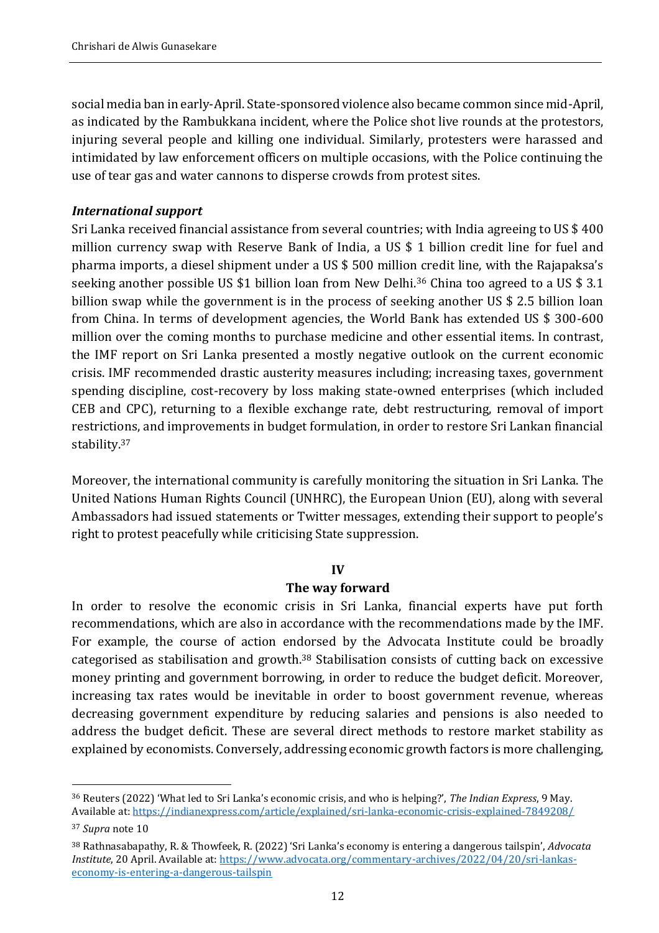social media ban in early-April. State-sponsored violence also became common since mid-April, as indicated by the Rambukkana incident, where the Police shot live rounds at the protestors, injuring several people and killing one individual. Similarly, protesters were harassed and intimidated by law enforcement officers on multiple occasions, with the Police continuing the use of tear gas and water cannons to disperse crowds from protest sites.

## *International support*

Sri Lanka received financial assistance from several countries; with India agreeing to US \$ 400 million currency swap with Reserve Bank of India, a US \$ 1 billion credit line for fuel and pharma imports, a diesel shipment under a US \$ 500 million credit line, with the Rajapaksa's seeking another possible US \$1 billion loan from New Delhi.<sup>36</sup> China too agreed to a US \$ 3.1 billion swap while the government is in the process of seeking another US \$ 2.5 billion loan from China. In terms of development agencies, the World Bank has extended US \$ 300-600 million over the coming months to purchase medicine and other essential items. In contrast, the IMF report on Sri Lanka presented a mostly negative outlook on the current economic crisis. IMF recommended drastic austerity measures including; increasing taxes, government spending discipline, cost-recovery by loss making state-owned enterprises (which included CEB and CPC), returning to a flexible exchange rate, debt restructuring, removal of import restrictions, and improvements in budget formulation, in order to restore Sri Lankan financial stability.<sup>37</sup>

Moreover, the international community is carefully monitoring the situation in Sri Lanka. The United Nations Human Rights Council (UNHRC), the European Union (EU), along with several Ambassadors had issued statements or Twitter messages, extending their support to people's right to protest peacefully while criticising State suppression.

#### **IV**

## **The way forward**

In order to resolve the economic crisis in Sri Lanka, financial experts have put forth recommendations, which are also in accordance with the recommendations made by the IMF. For example, the course of action endorsed by the Advocata Institute could be broadly categorised as stabilisation and growth.<sup>38</sup> Stabilisation consists of cutting back on excessive money printing and government borrowing, in order to reduce the budget deficit. Moreover, increasing tax rates would be inevitable in order to boost government revenue, whereas decreasing government expenditure by reducing salaries and pensions is also needed to address the budget deficit. These are several direct methods to restore market stability as explained by economists. Conversely, addressing economic growth factors is more challenging,

<sup>36</sup> Reuters (2022) 'What led to Sri Lanka's economic crisis, and who is helping?', *The Indian Express*, 9 May. Available at:<https://indianexpress.com/article/explained/sri-lanka-economic-crisis-explained-7849208/>

<sup>37</sup> *Supra* note 10

<sup>38</sup> Rathnasabapathy, R. & Thowfeek, R. (2022) 'Sri Lanka's economy is entering a dangerous tailspin', *Advocata Institute*, 20 April. Available at[: https://www.advocata.org/commentary-archives/2022/04/20/sri-lankas](https://www.advocata.org/commentary-archives/2022/04/20/sri-lankas-economy-is-entering-a-dangerous-tailspin)[economy-is-entering-a-dangerous-tailspin](https://www.advocata.org/commentary-archives/2022/04/20/sri-lankas-economy-is-entering-a-dangerous-tailspin)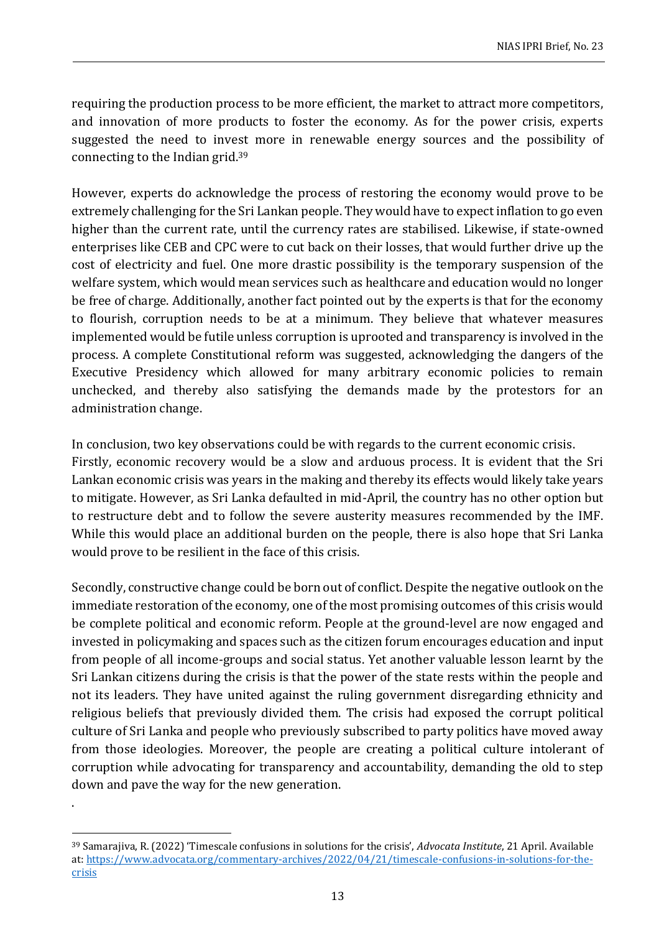requiring the production process to be more efficient, the market to attract more competitors, and innovation of more products to foster the economy. As for the power crisis, experts suggested the need to invest more in renewable energy sources and the possibility of connecting to the Indian grid.<sup>39</sup>

However, experts do acknowledge the process of restoring the economy would prove to be extremely challenging for the Sri Lankan people. They would have to expect inflation to go even higher than the current rate, until the currency rates are stabilised. Likewise, if state-owned enterprises like CEB and CPC were to cut back on their losses, that would further drive up the cost of electricity and fuel. One more drastic possibility is the temporary suspension of the welfare system, which would mean services such as healthcare and education would no longer be free of charge. Additionally, another fact pointed out by the experts is that for the economy to flourish, corruption needs to be at a minimum. They believe that whatever measures implemented would be futile unless corruption is uprooted and transparency is involved in the process. A complete Constitutional reform was suggested, acknowledging the dangers of the Executive Presidency which allowed for many arbitrary economic policies to remain unchecked, and thereby also satisfying the demands made by the protestors for an administration change.

In conclusion, two key observations could be with regards to the current economic crisis. Firstly, economic recovery would be a slow and arduous process. It is evident that the Sri Lankan economic crisis was years in the making and thereby its effects would likely take years to mitigate. However, as Sri Lanka defaulted in mid-April, the country has no other option but to restructure debt and to follow the severe austerity measures recommended by the IMF. While this would place an additional burden on the people, there is also hope that Sri Lanka would prove to be resilient in the face of this crisis.

Secondly, constructive change could be born out of conflict. Despite the negative outlook on the immediate restoration of the economy, one of the most promising outcomes of this crisis would be complete political and economic reform. People at the ground-level are now engaged and invested in policymaking and spaces such as the citizen forum encourages education and input from people of all income-groups and social status. Yet another valuable lesson learnt by the Sri Lankan citizens during the crisis is that the power of the state rests within the people and not its leaders. They have united against the ruling government disregarding ethnicity and religious beliefs that previously divided them. The crisis had exposed the corrupt political culture of Sri Lanka and people who previously subscribed to party politics have moved away from those ideologies. Moreover, the people are creating a political culture intolerant of corruption while advocating for transparency and accountability, demanding the old to step down and pave the way for the new generation.

.

<sup>39</sup> Samarajiva, R. (2022) 'Timescale confusions in solutions for the crisis', *Advocata Institute*, 21 April. Available at: [https://www.advocata.org/commentary-archives/2022/04/21/timescale-confusions-in-solutions-for-the](https://www.advocata.org/commentary-archives/2022/04/21/timescale-confusions-in-solutions-for-the-crisis)[crisis](https://www.advocata.org/commentary-archives/2022/04/21/timescale-confusions-in-solutions-for-the-crisis)